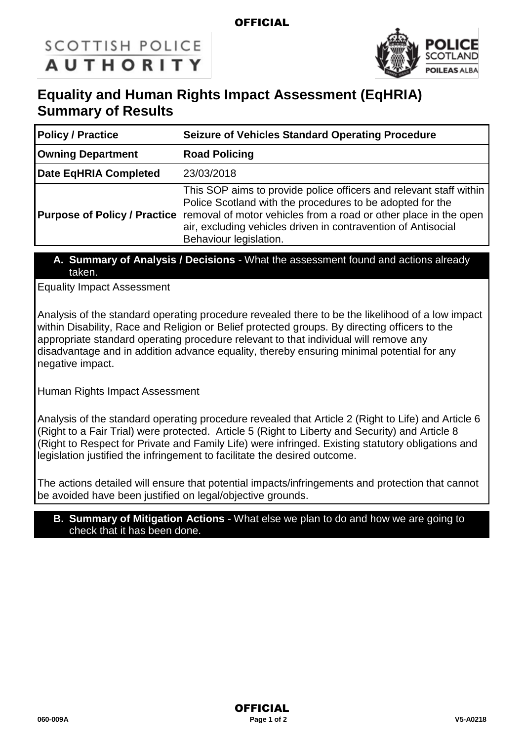## **OFFICIAL**

# **SCOTTISH POLICE AUTHORITY**



# **Equality and Human Rights Impact Assessment (EqHRIA) Summary of Results**

| <b>Policy / Practice</b>            | <b>Seizure of Vehicles Standard Operating Procedure</b>                                                                                                                                                                                                                                        |  |
|-------------------------------------|------------------------------------------------------------------------------------------------------------------------------------------------------------------------------------------------------------------------------------------------------------------------------------------------|--|
| <b>Owning Department</b>            | <b>Road Policing</b>                                                                                                                                                                                                                                                                           |  |
| Date EqHRIA Completed               | 23/03/2018                                                                                                                                                                                                                                                                                     |  |
| <b>Purpose of Policy / Practice</b> | This SOP aims to provide police officers and relevant staff within<br>Police Scotland with the procedures to be adopted for the<br>removal of motor vehicles from a road or other place in the open<br>air, excluding vehicles driven in contravention of Antisocial<br>Behaviour legislation. |  |

#### **A. Summary of Analysis / Decisions** - What the assessment found and actions already taken.

Equality Impact Assessment

Analysis of the standard operating procedure revealed there to be the likelihood of a low impact within Disability, Race and Religion or Belief protected groups. By directing officers to the appropriate standard operating procedure relevant to that individual will remove any disadvantage and in addition advance equality, thereby ensuring minimal potential for any negative impact.

Human Rights Impact Assessment

Analysis of the standard operating procedure revealed that Article 2 (Right to Life) and Article 6 (Right to a Fair Trial) were protected. Article 5 (Right to Liberty and Security) and Article 8 (Right to Respect for Private and Family Life) were infringed. Existing statutory obligations and legislation justified the infringement to facilitate the desired outcome.

The actions detailed will ensure that potential impacts/infringements and protection that cannot be avoided have been justified on legal/objective grounds.

#### **B. Summary of Mitigation Actions** - What else we plan to do and how we are going to check that it has been done.